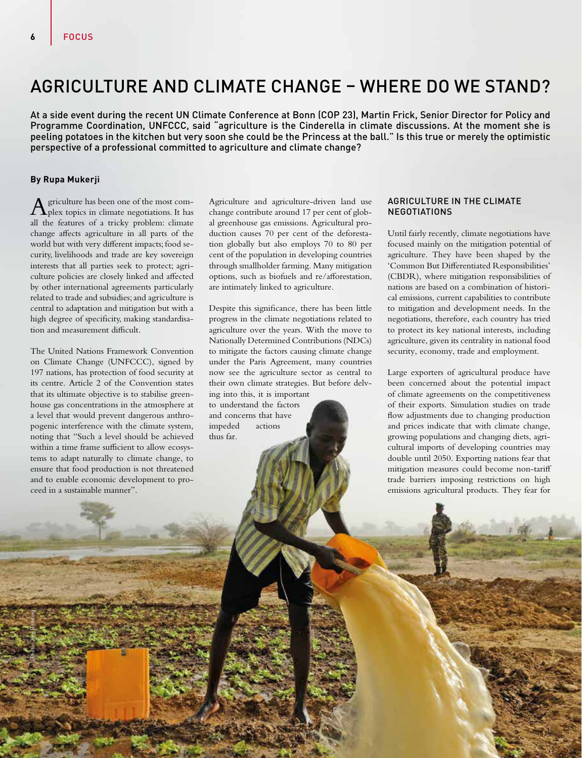# AGRICULTURE AND CLIMATE CHANGE – WHERE DO WE STAND?

At a side event during the recent UN Climate Conference at Bonn (COP 23), Martin Frick, Senior Director for Policy and Programme Coordination, UNFCCC, said "agriculture is the Cinderella in climate discussions. At the moment she is peeling potatoes in the kitchen but very soon she could be the Princess at the ball." Is this true or merely the optimistic perspective of a professional committed to agriculture and climate change?

## **By Rupa Mukerji**

Photo: Jörg Böthling

griculture has been one of the most complex topics in climate negotiations. It has all the features of a tricky problem: climate change affects agriculture in all parts of the world but with very different impacts; food security, livelihoods and trade are key sovereign interests that all parties seek to protect; agriculture policies are closely linked and affected by other international agreements particularly related to trade and subsidies; and agriculture is central to adaptation and mitigation but with a high degree of specificity, making standardisation and measurement difficult.

The United Nations Framework Convention on Climate Change (UNFCCC), signed by 197 nations, has protection of food security at its centre. Article 2 of the Convention states that its ultimate objective is to stabilise greenhouse gas concentrations in the atmosphere at a level that would prevent dangerous anthropogenic interference with the climate system, noting that "Such a level should be achieved within a time frame sufficient to allow ecosystems to adapt naturally to climate change, to ensure that food production is not threatened and to enable economic development to proceed in a sustainable manner".

Agriculture and agriculture-driven land use change contribute around 17 per cent of global greenhouse gas emissions. Agricultural production causes 70 per cent of the deforestation globally but also employs 70 to 80 per cent of the population in developing countries through smallholder farming. Many mitigation options, such as biofuels and re/afforestation, are intimately linked to agriculture.

Despite this significance, there has been little progress in the climate negotiations related to agriculture over the years. With the move to Nationally Determined Contributions (NDCs) to mitigate the factors causing climate change under the Paris Agreement, many countries now see the agriculture sector as central to their own climate strategies. But before delving into this, it is important

to understand the factors and concerns that have<br>impeded actions impeded thus far.

# AGRICULTURE IN THE CLIMATE NEGOTIATIONS

Until fairly recently, climate negotiations have focused mainly on the mitigation potential of agriculture. They have been shaped by the 'Common But Differentiated Responsibilities' (CBDR), where mitigation responsibilities of nations are based on a combination of historical emissions, current capabilities to contribute to mitigation and development needs. In the negotiations, therefore, each country has tried to protect its key national interests, including agriculture, given its centrality in national food security, economy, trade and employment.

Large exporters of agricultural produce have been concerned about the potential impact of climate agreements on the competitiveness of their exports. Simulation studies on trade flow adjustments due to changing production and prices indicate that with climate change, growing populations and changing diets, agricultural imports of developing countries may double until 2050. Exporting nations fear that mitigation measures could become non-tariff trade barriers imposing restrictions on high emissions agricultural products. They fear for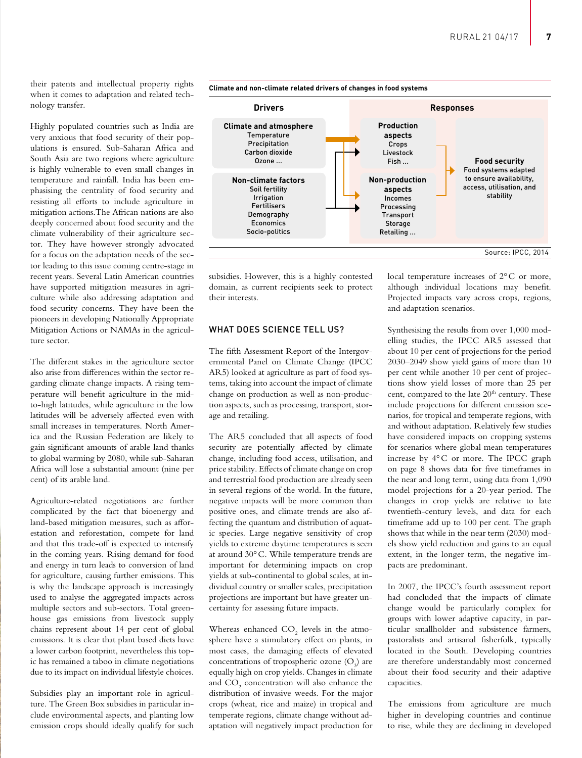their patents and intellectual property rights when it comes to adaptation and related technology transfer.

Highly populated countries such as India are very anxious that food security of their populations is ensured. Sub-Saharan Africa and South Asia are two regions where agriculture is highly vulnerable to even small changes in temperature and rainfall. India has been emphasising the centrality of food security and resisting all efforts to include agriculture in mitigation actions.The African nations are also deeply concerned about food security and the climate vulnerability of their agriculture sector. They have however strongly advocated for a focus on the adaptation needs of the sector leading to this issue coming centre-stage in recent years. Several Latin American countries have supported mitigation measures in agriculture while also addressing adaptation and food security concerns. They have been the pioneers in developing Nationally Appropriate Mitigation Actions or NAMAs in the agriculture sector.

The different stakes in the agriculture sector also arise from differences within the sector regarding climate change impacts. A rising temperature will benefit agriculture in the midto-high latitudes, while agriculture in the low latitudes will be adversely affected even with small increases in temperatures. North America and the Russian Federation are likely to gain significant amounts of arable land thanks to global warming by 2080, while sub-Saharan Africa will lose a substantial amount (nine per cent) of its arable land.

Agriculture-related negotiations are further complicated by the fact that bioenergy and land-based mitigation measures, such as afforestation and reforestation, compete for land and that this trade-off is expected to intensify in the coming years. Rising demand for food and energy in turn leads to conversion of land for agriculture, causing further emissions. This is why the landscape approach is increasingly used to analyse the aggregated impacts across multiple sectors and sub-sectors. Total greenhouse gas emissions from livestock supply chains represent about 14 per cent of global emissions. It is clear that plant based diets have a lower carbon footprint, nevertheless this topic has remained a taboo in climate negotiations due to its impact on individual lifestyle choices.

Subsidies play an important role in agriculture. The Green Box subsidies in particular include environmental aspects, and planting low emission crops should ideally qualify for such



Incomes Processing **Transport** Storage Retailing ...

**Climate and non-climate related drivers of changes in food systems**

domain, as current recipients seek to protect their interests.

subsidies. However, this is a highly contested

# WHAT DOES SCIENCE TELL US?

Irrigation Fertilisers Demography Economics Socio-politics

The fifth Assessment Report of the Intergovernmental Panel on Climate Change (IPCC AR5) looked at agriculture as part of food systems, taking into account the impact of climate change on production as well as non-production aspects, such as processing, transport, storage and retailing.

The AR5 concluded that all aspects of food security are potentially affected by climate change, including food access, utilisation, and price stability. Effects of climate change on crop and terrestrial food production are already seen in several regions of the world. In the future, negative impacts will be more common than positive ones, and climate trends are also affecting the quantum and distribution of aquatic species. Large negative sensitivity of crop yields to extreme daytime temperatures is seen at around 30°C. While temperature trends are important for determining impacts on crop yields at sub-continental to global scales, at individual country or smaller scales, precipitation projections are important but have greater uncertainty for assessing future impacts.

Whereas enhanced  $\mathrm{CO}_2$  levels in the atmosphere have a stimulatory effect on plants, in most cases, the damaging effects of elevated concentrations of tropospheric ozone  $(O_3)$  are equally high on crop yields. Changes in climate and  $\mathrm{CO}_2$  concentration will also enhance the distribution of invasive weeds. For the major crops (wheat, rice and maize) in tropical and temperate regions, climate change without adaptation will negatively impact production for

local temperature increases of 2°C or more, although individual locations may benefit. Projected impacts vary across crops, regions, and adaptation scenarios.

Source: IPCC, 2014

Synthesising the results from over 1,000 modelling studies, the IPCC AR5 assessed that about 10 per cent of projections for the period 2030–2049 show yield gains of more than 10 per cent while another 10 per cent of projections show yield losses of more than 25 per cent, compared to the late 20<sup>th</sup> century. These include projections for different emission scenarios, for tropical and temperate regions, with and without adaptation. Relatively few studies have considered impacts on cropping systems for scenarios where global mean temperatures increase by 4°C or more. The IPCC graph on page 8 shows data for five timeframes in the near and long term, using data from 1,090 model projections for a 20-year period. The changes in crop yields are relative to late twentieth-century levels, and data for each timeframe add up to 100 per cent. The graph shows that while in the near term (2030) models show yield reduction and gains to an equal extent, in the longer term, the negative impacts are predominant.

In 2007, the IPCC's fourth assessment report had concluded that the impacts of climate change would be particularly complex for groups with lower adaptive capacity, in particular smallholder and subsistence farmers, pastoralists and artisanal fisherfolk, typically located in the South. Developing countries are therefore understandably most concerned about their food security and their adaptive capacities.

The emissions from agriculture are much higher in developing countries and continue to rise, while they are declining in developed